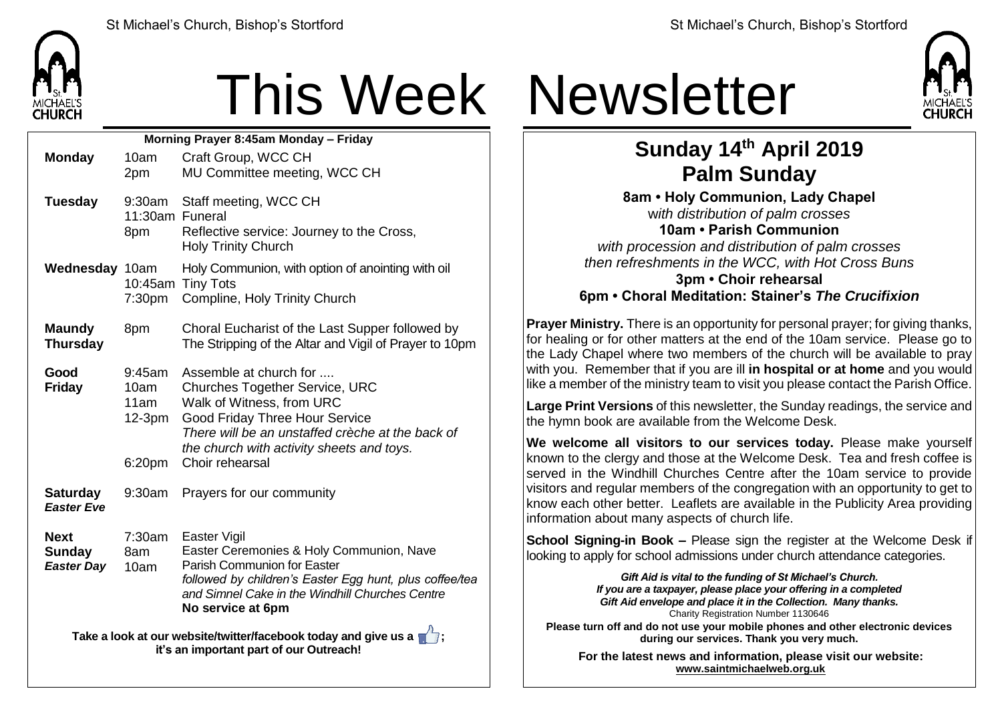

# This Week Newsletter

| Morning Prayer 8:45am Monday - Friday                                                                                       |                                              |                                                                                                                                                                                                                                                    |  |  |  |
|-----------------------------------------------------------------------------------------------------------------------------|----------------------------------------------|----------------------------------------------------------------------------------------------------------------------------------------------------------------------------------------------------------------------------------------------------|--|--|--|
| <b>Monday</b>                                                                                                               | 10am                                         | Craft Group, WCC CH                                                                                                                                                                                                                                |  |  |  |
|                                                                                                                             | 2pm                                          | MU Committee meeting, WCC CH                                                                                                                                                                                                                       |  |  |  |
| <b>Tuesday</b>                                                                                                              | 9:30am<br>11:30am Funeral<br>8pm             | Staff meeting, WCC CH<br>Reflective service: Journey to the Cross,<br><b>Holy Trinity Church</b>                                                                                                                                                   |  |  |  |
| Wednesday 10am                                                                                                              | 7:30 <sub>pm</sub>                           | Holy Communion, with option of anointing with oil<br>10:45am Tiny Tots<br>Compline, Holy Trinity Church                                                                                                                                            |  |  |  |
| <b>Maundy</b><br><b>Thursday</b>                                                                                            | 8pm                                          | Choral Eucharist of the Last Supper followed by<br>The Stripping of the Altar and Vigil of Prayer to 10pm                                                                                                                                          |  |  |  |
| Good<br><b>Friday</b>                                                                                                       | 9:45am<br>10am<br>11am<br>$12-3pm$<br>6:20pm | Assemble at church for<br><b>Churches Together Service, URC</b><br>Walk of Witness, from URC<br>Good Friday Three Hour Service<br>There will be an unstaffed crèche at the back of<br>the church with activity sheets and toys.<br>Choir rehearsal |  |  |  |
| <b>Saturday</b><br><b>Easter Eve</b>                                                                                        | 9:30am                                       | Prayers for our community                                                                                                                                                                                                                          |  |  |  |
| <b>Next</b><br><b>Sunday</b><br><b>Easter Day</b>                                                                           | 7:30am<br>8am<br>10am                        | Easter Vigil<br>Easter Ceremonies & Holy Communion, Nave<br><b>Parish Communion for Easter</b><br>followed by children's Easter Egg hunt, plus coffee/tea<br>and Simnel Cake in the Windhill Churches Centre<br>No service at 6pm                  |  |  |  |
| Take a look at our website/twitter/facebook today and give us a $\blacksquare$ ;<br>it's an important part of our Outreach! |                                              |                                                                                                                                                                                                                                                    |  |  |  |



### **Sunday 14th April 2019 Palm Sunday**

**8am • Holy Communion, Lady Chapel** w*ith distribution of palm crosses* **10am • Parish Communion** *with procession and distribution of palm crosses then refreshments in the WCC, with Hot Cross Buns* **3pm • Choir rehearsal 6pm • Choral Meditation: Stainer's** *The Crucifixion*

**Prayer Ministry.** There is an opportunity for personal prayer; for giving thanks, for healing or for other matters at the end of the 10am service. Please go to the Lady Chapel where two members of the church will be available to pray with you. Remember that if you are ill **in hospital or at home** and you would like a member of the ministry team to visit you please contact the Parish Office.

**Large Print Versions** of this newsletter, the Sunday readings, the service and the hymn book are available from the Welcome Desk.

**We welcome all visitors to our services today.** Please make yourself  $k$  known to the clergy and those at the Welcome Desk. Tea and fresh coffee is served in the Windhill Churches Centre after the 10am service to provide visitors and regular members of the congregation with an opportunity to get to know each other better. Leaflets are available in the Publicity Area providing information about many aspects of church life.

**School Signing-in Book –** Please sign the register at the Welcome Desk if looking to apply for school admissions under church attendance categories.

> *Gift Aid is vital to the funding of St Michael's Church. If you are a taxpayer, please place your offering in a completed Gift Aid envelope and place it in the Collection. Many thanks.* Charity Registration Number 1130646

**Please turn off and do not use your mobile phones and other electronic devices during our services. Thank you very much.**

**For the latest news and information, please visit our website: [www.saintmichaelweb.org.uk](http://www.saintmichaelweb.org.uk/)**